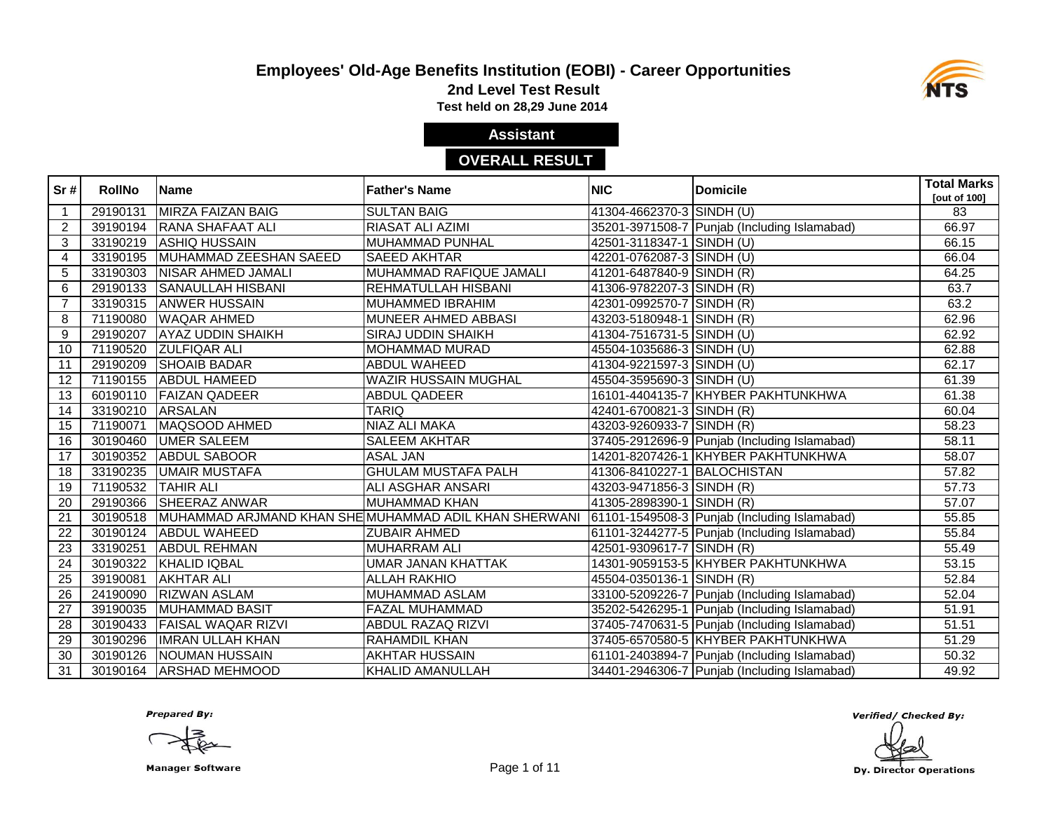

**2nd Level Test Result**

**Test held on 28,29 June 2014** 

### **Assistant**

### **OVERALL RESULT**

| Sr#             | <b>RollNo</b> | <b>Name</b>               | <b>Father's Name</b>                                  | <b>NIC</b>                  | <b>Domicile</b>                              | <b>Total Marks</b><br>[out of 100] |
|-----------------|---------------|---------------------------|-------------------------------------------------------|-----------------------------|----------------------------------------------|------------------------------------|
| $\mathbf{1}$    | 29190131      | <b>MIRZA FAIZAN BAIG</b>  | <b>SULTAN BAIG</b>                                    | 41304-4662370-3 SINDH (U)   |                                              | 83                                 |
| 2               | 39190194      | <b>RANA SHAFAAT ALI</b>   | RIASAT ALI AZIMI                                      |                             | 35201-3971508-7 Punjab (Including Islamabad) | 66.97                              |
| $\mathbf{3}$    |               | 33190219 ASHIQ HUSSAIN    | <b>MUHAMMAD PUNHAL</b>                                | 42501-3118347-1 SINDH (U)   |                                              | 66.15                              |
| 4               | 33190195      | MUHAMMAD ZEESHAN SAEED    | SAEED AKHTAR                                          | 42201-0762087-3 SINDH (U)   |                                              | 66.04                              |
| 5               | 33190303      | <b>NISAR AHMED JAMALI</b> | MUHAMMAD RAFIQUE JAMALI                               | 41201-6487840-9 SINDH (R)   |                                              | 64.25                              |
| 6               | 29190133      | <b>SANAULLAH HISBANI</b>  | REHMATULLAH HISBANI                                   | 41306-9782207-3 SINDH (R)   |                                              | 63.7                               |
| $\overline{7}$  |               | 33190315 ANWER HUSSAIN    | <b>MUHAMMED IBRAHIM</b>                               | 42301-0992570-7 SINDH (R)   |                                              | 63.2                               |
| 8               | 71190080      | <b>WAQAR AHMED</b>        | MUNEER AHMED ABBASI                                   | 43203-5180948-1 SINDH (R)   |                                              | 62.96                              |
| 9               | 29190207      | <b>AYAZ UDDIN SHAIKH</b>  | <b>SIRAJ UDDIN SHAIKH</b>                             | 41304-7516731-5 SINDH (U)   |                                              | 62.92                              |
| 10              |               | 71190520 ZULFIQAR ALI     | MOHAMMAD MURAD                                        | 45504-1035686-3 SINDH (U)   |                                              | 62.88                              |
| 11              | 29190209      | <b>SHOAIB BADAR</b>       | <b>ABDUL WAHEED</b>                                   | 41304-9221597-3 SINDH (U)   |                                              | 62.17                              |
| 12              | 71190155      | <b>ABDUL HAMEED</b>       | <b>WAZIR HUSSAIN MUGHAL</b>                           | 45504-3595690-3 SINDH (U)   |                                              | 61.39                              |
| 13              | 60190110      | <b>FAIZAN QADEER</b>      | <b>ABDUL QADEER</b>                                   |                             | 16101-4404135-7 KHYBER PAKHTUNKHWA           | 61.38                              |
| 14              | 33190210      | <b>ARSALAN</b>            | <b>TARIQ</b>                                          | 42401-6700821-3 SINDH (R)   |                                              | 60.04                              |
| 15              | 71190071      | MAQSOOD AHMED             | NIAZ ALI MAKA                                         | 43203-9260933-7 SINDH (R)   |                                              | 58.23                              |
| 16              | 30190460      | <b>UMER SALEEM</b>        | <b>SALEEM AKHTAR</b>                                  |                             | 37405-2912696-9 Punjab (Including Islamabad) | 58.11                              |
| 17              |               | 30190352 ABDUL SABOOR     | <b>ASAL JAN</b>                                       |                             | 14201-8207426-1 KHYBER PAKHTUNKHWA           | 58.07                              |
| 18              |               | 33190235 UMAIR MUSTAFA    | <b>GHULAM MUSTAFA PALH</b>                            | 41306-8410227-1 BALOCHISTAN |                                              | 57.82                              |
| 19              | 71190532      | <b>TAHIR ALI</b>          | ALI ASGHAR ANSARI                                     | 43203-9471856-3 SINDH (R)   |                                              | 57.73                              |
| 20              | 29190366      | <b>SHEERAZ ANWAR</b>      | <b>MUHAMMAD KHAN</b>                                  | 41305-2898390-1 SINDH (R)   |                                              | 57.07                              |
| 21              | 30190518      |                           | MUHAMMAD ARJMAND KHAN SHE MUHAMMAD ADIL KHAN SHERWANI |                             | 61101-1549508-3 Punjab (Including Islamabad) | 55.85                              |
| $\overline{22}$ | 30190124      | <b>ABDUL WAHEED</b>       | <b>ZUBAIR AHMED</b>                                   |                             | 61101-3244277-5 Punjab (Including Islamabad) | 55.84                              |
| 23              | 33190251      | <b>ABDUL REHMAN</b>       | <b>MUHARRAM ALI</b>                                   | 42501-9309617-7 SINDH (R)   |                                              | 55.49                              |
| 24              | 30190322      | <b>KHALID IQBAL</b>       | <b>UMAR JANAN KHATTAK</b>                             |                             | 14301-9059153-5 KHYBER PAKHTUNKHWA           | 53.15                              |
| $\overline{25}$ | 39190081      | <b>AKHTAR ALI</b>         | <b>ALLAH RAKHIO</b>                                   | 45504-0350136-1 SINDH (R)   |                                              | 52.84                              |
| 26              | 24190090      | <b>RIZWAN ASLAM</b>       | MUHAMMAD ASLAM                                        |                             | 33100-5209226-7 Punjab (Including Islamabad) | 52.04                              |
| 27              | 39190035      | <b>MUHAMMAD BASIT</b>     | <b>FAZAL MUHAMMAD</b>                                 |                             | 35202-5426295-1 Punjab (Including Islamabad) | 51.91                              |
| 28              | 30190433      | <b>FAISAL WAQAR RIZVI</b> | ABDUL RAZAQ RIZVI                                     |                             | 37405-7470631-5 Punjab (Including Islamabad) | 51.51                              |
| 29              | 30190296      | <b>IMRAN ULLAH KHAN</b>   | RAHAMDIL KHAN                                         |                             | 37405-6570580-5 KHYBER PAKHTUNKHWA           | 51.29                              |
| 30              | 30190126      | NOUMAN HUSSAIN            | <b>AKHTAR HUSSAIN</b>                                 |                             | 61101-2403894-7 Punjab (Including Islamabad) | 50.32                              |
| 31              | 30190164      | <b>ARSHAD MEHMOOD</b>     | KHALID AMANULLAH                                      |                             | 34401-2946306-7 Punjab (Including Islamabad) | 49.92                              |

**Prepared By:** 

Manager Software **Example 20** and 20 and 20 and 20 and 20 and 20 and 20 and 20 and 20 and 20 and 20 and 20 and 20 and 20 and 20 and 20 and 20 and 20 and 20 and 20 and 20 and 20 and 20 and 20 and 20 and 20 and 20 and 20 and

Verified/ Checked By:

Dy. Director Operations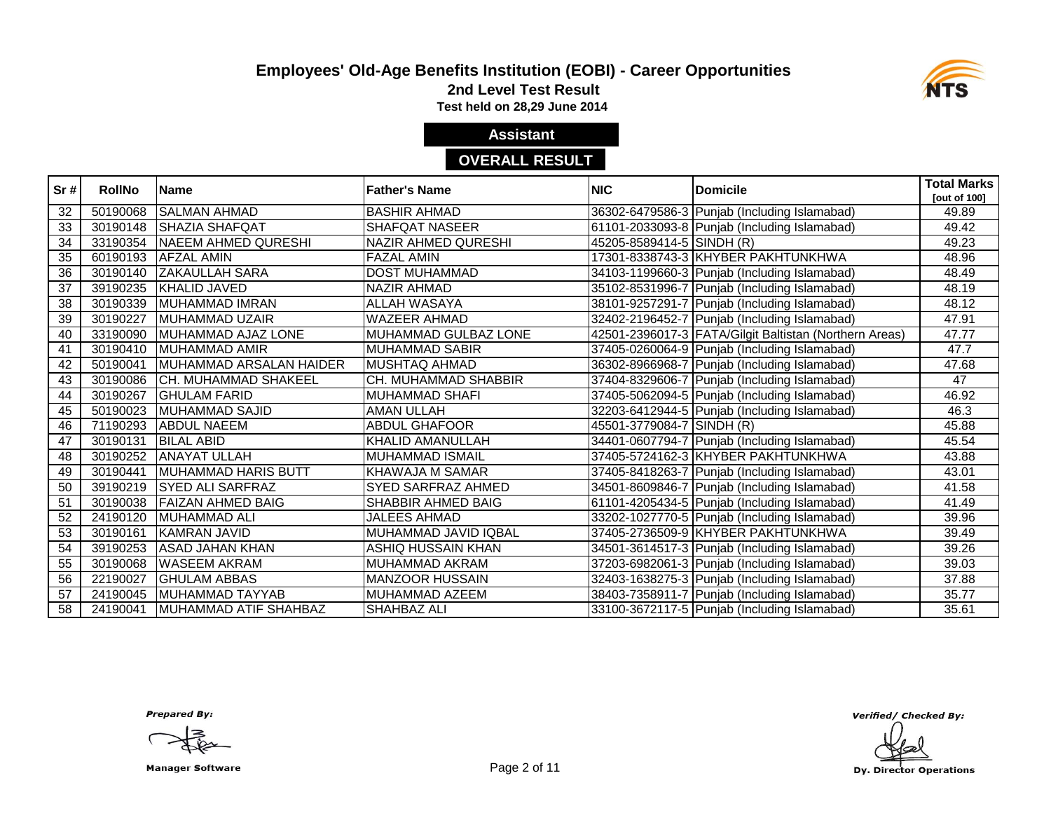

**2nd Level Test Result**

**Test held on 28,29 June 2014** 

# **Assistant**

### **OVERALL RESULT**

| Sr#             | <b>RollNo</b> | <b>IName</b>                 | <b>Father's Name</b>       | <b>NIC</b>                | <b>Domicile</b>                                          | <b>Total Marks</b>  |
|-----------------|---------------|------------------------------|----------------------------|---------------------------|----------------------------------------------------------|---------------------|
|                 |               |                              |                            |                           |                                                          | <b>Tout of 1001</b> |
| 32              | 50190068      | <b>SALMAN AHMAD</b>          | <b>BASHIR AHMAD</b>        |                           | 36302-6479586-3 Punjab (Including Islamabad)             | 49.89               |
| 33              | 30190148      | <b>SHAZIA SHAFQAT</b>        | <b>SHAFQAT NASEER</b>      |                           | 61101-2033093-8 Punjab (Including Islamabad)             | 49.42               |
| 34              |               | 33190354 NAEEM AHMED QURESHI | <b>NAZIR AHMED QURESHI</b> | 45205-8589414-5 SINDH (R) |                                                          | 49.23               |
| $\overline{35}$ | 60190193      | <b>AFZAL AMIN</b>            | <b>FAZAL AMIN</b>          |                           | 17301-8338743-3 KHYBER PAKHTUNKHWA                       | 48.96               |
| 36              | 30190140      | <b>ZAKAULLAH SARA</b>        | <b>DOST MUHAMMAD</b>       |                           | 34103-1199660-3 Punjab (Including Islamabad)             | 48.49               |
| $\overline{37}$ |               | 39190235 KHALID JAVED        | <b>NAZIR AHMAD</b>         |                           | 35102-8531996-7 Punjab (Including Islamabad)             | 48.19               |
| 38              | 30190339      | MUHAMMAD IMRAN               | <b>ALLAH WASAYA</b>        |                           | 38101-9257291-7 Punjab (Including Islamabad)             | 48.12               |
| 39              | 30190227      | <b>MUHAMMAD UZAIR</b>        | <b>WAZEER AHMAD</b>        |                           | 32402-2196452-7 Punjab (Including Islamabad)             | 47.91               |
| 40              | 33190090      | MUHAMMAD AJAZ LONE           | MUHAMMAD GULBAZ LONE       |                           | 42501-2396017-3   FATA/Gilgit Baltistan (Northern Areas) | 47.77               |
| 41              | 30190410      | MUHAMMAD AMIR                | <b>MUHAMMAD SABIR</b>      |                           | 37405-0260064-9 Punjab (Including Islamabad)             | 47.7                |
| 42              | 50190041      | MUHAMMAD ARSALAN HAIDER      | <b>MUSHTAQ AHMAD</b>       |                           | 36302-8966968-7 Punjab (Including Islamabad)             | 47.68               |
| 43              | 30190086      | <b>CH. MUHAMMAD SHAKEEL</b>  | CH. MUHAMMAD SHABBIR       |                           | 37404-8329606-7 Punjab (Including Islamabad)             | 47                  |
| 44              | 30190267      | <b>GHULAM FARID</b>          | <b>MUHAMMAD SHAFI</b>      |                           | 37405-5062094-5 Punjab (Including Islamabad)             | 46.92               |
| 45              | 50190023      | <b>IMUHAMMAD SAJID</b>       | <b>AMAN ULLAH</b>          |                           | 32203-6412944-5 Punjab (Including Islamabad)             | 46.3                |
| 46              | 71190293      | <b>ABDUL NAEEM</b>           | <b>ABDUL GHAFOOR</b>       | 45501-3779084-7 SINDH (R) |                                                          | 45.88               |
| 47              | 30190131      | <b>BILAL ABID</b>            | KHALID AMANULLAH           |                           | 34401-0607794-7 Punjab (Including Islamabad)             | 45.54               |
| 48              | 30190252      | <b>ANAYAT ULLAH</b>          | MUHAMMAD ISMAIL            |                           | 37405-5724162-3 KHYBER PAKHTUNKHWA                       | 43.88               |
| 49              | 30190441      | <b>MUHAMMAD HARIS BUTT</b>   | <b>KHAWAJA M SAMAR</b>     |                           | 37405-8418263-7 Punjab (Including Islamabad)             | 43.01               |
| 50              | 39190219      | <b>SYED ALI SARFRAZ</b>      | <b>SYED SARFRAZ AHMED</b>  |                           | 34501-8609846-7 Punjab (Including Islamabad)             | 41.58               |
| 51              | 30190038      | <b>FAIZAN AHMED BAIG</b>     | SHABBIR AHMED BAIG         |                           | 61101-4205434-5 Punjab (Including Islamabad)             | 41.49               |
| 52              | 24190120      | MUHAMMAD ALI                 | <b>JALEES AHMAD</b>        |                           | 33202-1027770-5 Punjab (Including Islamabad)             | 39.96               |
| 53              | 30190161      | <b>KAMRAN JAVID</b>          | MUHAMMAD JAVID IQBAL       |                           | 37405-2736509-9 KHYBER PAKHTUNKHWA                       | 39.49               |
| 54              | 39190253      | <b>ASAD JAHAN KHAN</b>       | <b>ASHIQ HUSSAIN KHAN</b>  |                           | 34501-3614517-3 Punjab (Including Islamabad)             | 39.26               |
| $\overline{55}$ | 30190068      | <b>WASEEM AKRAM</b>          | MUHAMMAD AKRAM             |                           | 37203-6982061-3 Punjab (Including Islamabad)             | 39.03               |
| 56              | 22190027      | <b>GHULAM ABBAS</b>          | <b>MANZOOR HUSSAIN</b>     |                           | 32403-1638275-3 Punjab (Including Islamabad)             | 37.88               |
| 57              | 24190045      | MUHAMMAD TAYYAB              | <b>MUHAMMAD AZEEM</b>      |                           | 38403-7358911-7 Punjab (Including Islamabad)             | 35.77               |
| 58              | 24190041      | MUHAMMAD ATIF SHAHBAZ        | <b>SHAHBAZ ALI</b>         |                           | 33100-3672117-5 Punjab (Including Islamabad)             | 35.61               |

**Prepared By:**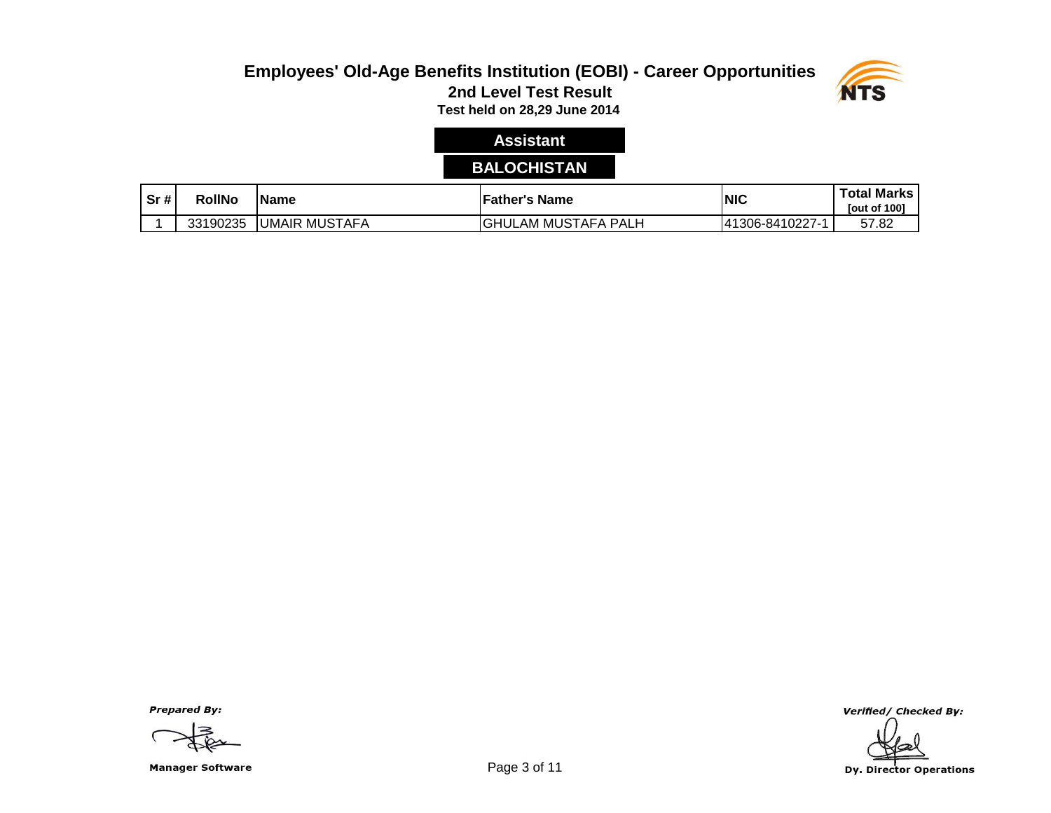

# **Assistant**

# **BALOCHISTAN**

| $\overline{\text{sr}}$ # | <b>RollNo</b> | <b>Name</b>                    | Father's Name                          | <b>NIC</b>      | <b>Total Marks</b><br><b>Tout of 1001</b> |
|--------------------------|---------------|--------------------------------|----------------------------------------|-----------------|-------------------------------------------|
|                          | 33190235      | <b>MUSTAFA</b><br><b>UMAIR</b> | <b>GHUL</b><br>' MUSTAFA<br>PAL.<br>AM | 41306-8410227-1 | 57.82                                     |

**Prepared By:** 

Manager Software **Example 2** of 11

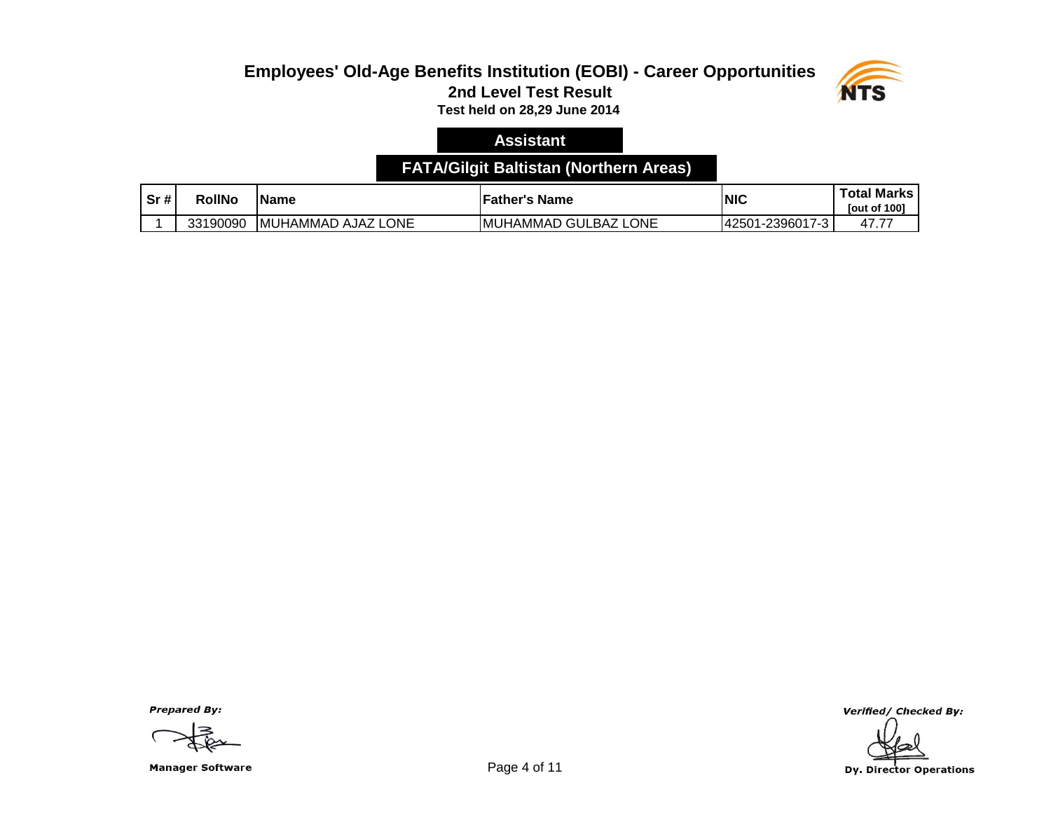

#### **Assistant**

### **FATA/Gilgit Baltistan (Northern Areas)**

| Sr# | <b>RollNo</b> | IName                                   | <b>Father's Name</b>                     | NIC             | <b>Total Marks</b><br><b>Tout of 1001</b> |
|-----|---------------|-----------------------------------------|------------------------------------------|-----------------|-------------------------------------------|
|     | 33190090      | LONE<br><b>IMUHAMMAD</b><br><b>AJAZ</b> | <b>LONE</b><br><b>IMUHAMMAD GULBAZ L</b> | 42501-2396017-3 | 47.77                                     |

**Prepared By:** 

Manager Software **Example 2018** Page 4 of 11

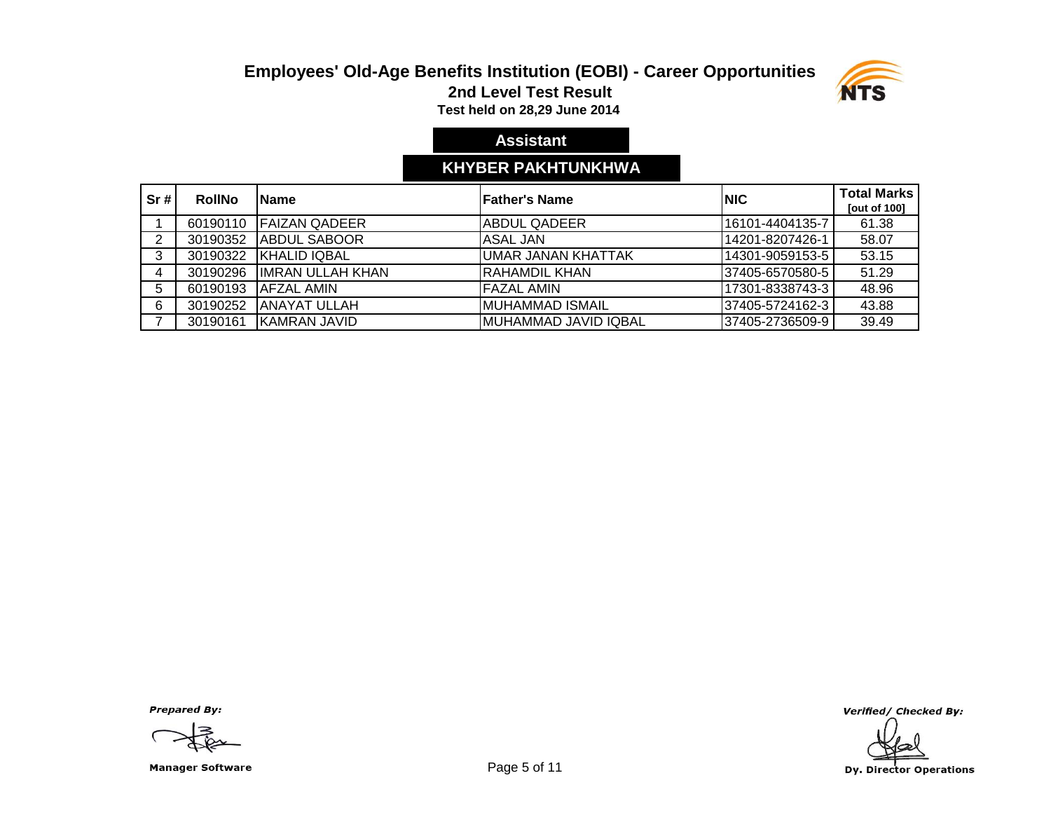

**2nd Level Test Result**

**Test held on 28,29 June 2014** 

### **Assistant**

### **KHYBER PAKHTUNKHWA**

| Sr# | <b>RollNo</b> | <b>IName</b>             | lFather's Name        | <b>INIC</b>      | <b>Total Marks</b><br><b>Tout of 1001</b> |
|-----|---------------|--------------------------|-----------------------|------------------|-------------------------------------------|
|     | 60190110      | <b>FAIZAN QADEER</b>     | <b>ABDUL QADEER</b>   | 16101-4404135-7  | 61.38                                     |
| 2   | 30190352      | <b>JABDUL SABOOR</b>     | IASAL JAN             | 14201-8207426-1  | 58.07                                     |
| 3   | 30190322      | <b>IKHALID IQBAL</b>     | UMAR JANAN KHATTAK    | 14301-9059153-5  | 53.15                                     |
| 4   | 30190296      | <b>IIMRAN ULLAH KHAN</b> | IRAHAMDIL KHAN        | l37405-6570580-5 | 51.29                                     |
| 5   | 60190193      | <b>IAFZAL AMIN</b>       | <b>FAZAL AMIN</b>     | 17301-8338743-3  | 48.96                                     |
| 6   | 30190252      | IANAYAT ULLAH            | IMUHAMMAD ISMAIL      | 37405-5724162-3  | 43.88                                     |
|     | 30190161      | IKAMRAN JAVID            | IMUHAMMAD JAVID IQBAL | 37405-2736509-9  | 39.49                                     |

**Prepared By:** 

Manager Software **Example 2 and Software** Page 5 of 11

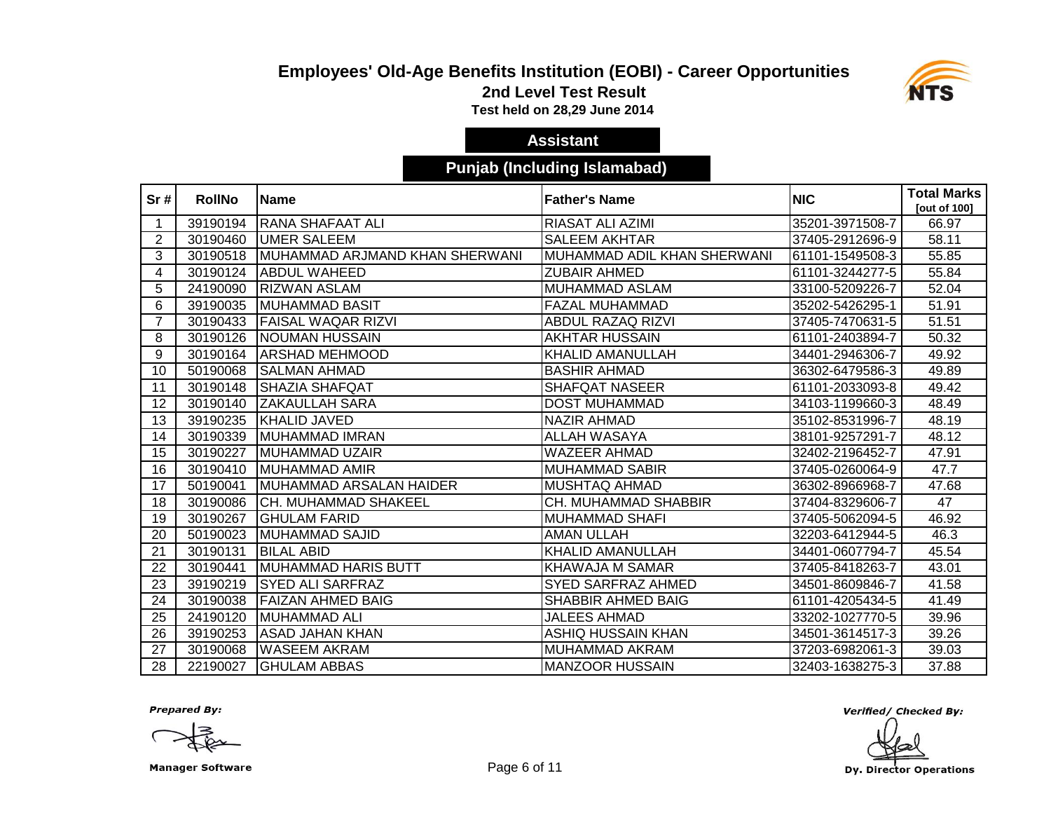

**2nd Level Test Result**

**Test held on 28,29 June 2014** 

### **Assistant**

### **Punjab (Including Islamabad)**

| Sr#            | <b>RollNo</b> | <b>Name</b>                     | <b>Father's Name</b>        | <b>NIC</b>      | <b>Total Marks</b><br>[out of 100] |
|----------------|---------------|---------------------------------|-----------------------------|-----------------|------------------------------------|
|                | 39190194      | RANA SHAFAAT ALI                | <b>RIASAT ALI AZIMI</b>     | 35201-3971508-7 | 66.97                              |
| $\overline{2}$ | 30190460      | UMER SALEEM                     | <b>SALEEM AKHTAR</b>        | 37405-2912696-9 | 58.11                              |
| 3              | 30190518      | IMUHAMMAD ARJMAND KHAN SHERWANI | MUHAMMAD ADIL KHAN SHERWANI | 61101-1549508-3 | 55.85                              |
| 4              | 30190124      | ABDUL WAHEED                    | <b>ZUBAIR AHMED</b>         | 61101-3244277-5 | 55.84                              |
| 5              | 24190090      | <b>RIZWAN ASLAM</b>             | <b>MUHAMMAD ASLAM</b>       | 33100-5209226-7 | 52.04                              |
| 6              | 39190035      | MUHAMMAD BASIT                  | FAZAL MUHAMMAD              | 35202-5426295-1 | 51.91                              |
| $\overline{7}$ | 30190433      | <b>FAISAL WAQAR RIZVI</b>       | ABDUL RAZAQ RIZVI           | 37405-7470631-5 | 51.51                              |
| 8              | 30190126      | <b>NOUMAN HUSSAIN</b>           | <b>AKHTAR HUSSAIN</b>       | 61101-2403894-7 | 50.32                              |
| 9              | 30190164      | <b>ARSHAD MEHMOOD</b>           | <b>KHALID AMANULLAH</b>     | 34401-2946306-7 | 49.92                              |
| 10             | 50190068      | <b>SALMAN AHMAD</b>             | <b>BASHIR AHMAD</b>         | 36302-6479586-3 | 49.89                              |
| 11             | 30190148      | ISHAZIA SHAFQAT                 | <b>SHAFQAT NASEER</b>       | 61101-2033093-8 | 49.42                              |
| 12             | 30190140      | <b>ZAKAULLAH SARA</b>           | <b>DOST MUHAMMAD</b>        | 34103-1199660-3 | 48.49                              |
| 13             | 39190235      | KHALID JAVED                    | <b>NAZIR AHMAD</b>          | 35102-8531996-7 | 48.19                              |
| 14             | 30190339      | MUHAMMAD IMRAN                  | <b>ALLAH WASAYA</b>         | 38101-9257291-7 | 48.12                              |
| 15             | 30190227      | IMUHAMMAD UZAIR                 | <b>WAZEER AHMAD</b>         | 32402-2196452-7 | 47.91                              |
| 16             | 30190410      | MUHAMMAD AMIR                   | <b>MUHAMMAD SABIR</b>       | 37405-0260064-9 | 47.7                               |
| 17             | 50190041      | IMUHAMMAD ARSALAN HAIDER        | <b>MUSHTAQ AHMAD</b>        | 36302-8966968-7 | 47.68                              |
| 18             | 30190086      | <b>CH. MUHAMMAD SHAKEEL</b>     | CH. MUHAMMAD SHABBIR        | 37404-8329606-7 | 47                                 |
| 19             | 30190267      | IGHULAM FARID                   | <b>MUHAMMAD SHAFI</b>       | 37405-5062094-5 | 46.92                              |
| 20             | 50190023      | IMUHAMMAD SAJID                 | <b>AMAN ULLAH</b>           | 32203-6412944-5 | 46.3                               |
| 21             | 30190131      | <b>BILAL ABID</b>               | <b>KHALID AMANULLAH</b>     | 34401-0607794-7 | 45.54                              |
| 22             | 30190441      | MUHAMMAD HARIS BUTT             | KHAWAJA M SAMAR             | 37405-8418263-7 | 43.01                              |
| 23             | 39190219      | <b>SYED ALI SARFRAZ</b>         | <b>SYED SARFRAZ AHMED</b>   | 34501-8609846-7 | 41.58                              |
| 24             | 30190038      | <b>FAIZAN AHMED BAIG</b>        | SHABBIR AHMED BAIG          | 61101-4205434-5 | 41.49                              |
| 25             | 24190120      | MUHAMMAD ALI                    | <b>JALEES AHMAD</b>         | 33202-1027770-5 | 39.96                              |
| 26             | 39190253      | <b>ASAD JAHAN KHAN</b>          | ASHIQ HUSSAIN KHAN          | 34501-3614517-3 | 39.26                              |
| 27             | 30190068      | <b>WASEEM AKRAM</b>             | MUHAMMAD AKRAM              | 37203-6982061-3 | 39.03                              |
| 28             | 22190027      | <b>GHULAM ABBAS</b>             | <b>MANZOOR HUSSAIN</b>      | 32403-1638275-3 | 37.88                              |

**Prepared By:** 

Manager Software **Example 2018** 2019 12:38 Page 6 of 11

Verified/ Checked By:

Dy. Director Operations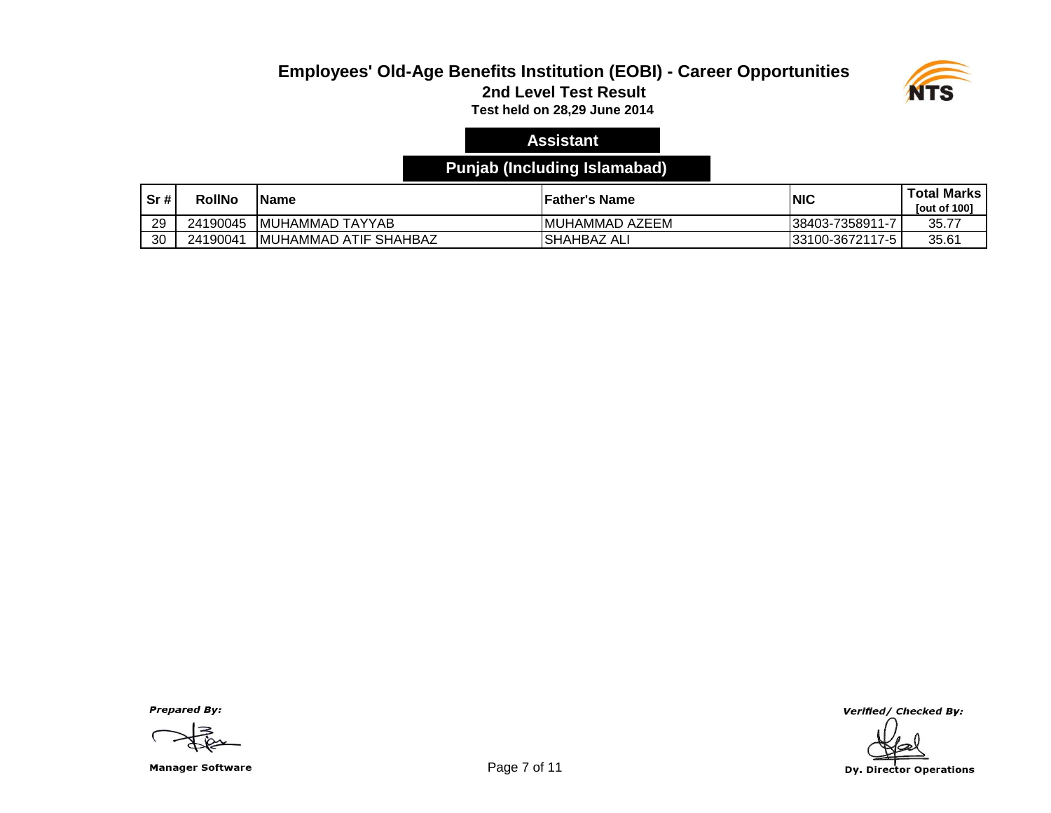#### **Employees' Old-Age Benefits Institution (EOBI) - Career Opportunities 2nd Level Test Result**



**Test held on 28,29 June 2014** 

### **Assistant**

### **Punjab (Including Islamabad)**

| Sr# | <b>RollNo</b> | <b>IName</b>                  | lFather's Name         | <b>INIC</b>      | <b>Total Marks</b><br><b>Tout of 1001</b> |
|-----|---------------|-------------------------------|------------------------|------------------|-------------------------------------------|
| 29  | 24190045      | <b>IMUHAMMAD TAYYAB</b>       | <b>IMUHAMMAD AZEEM</b> | 38403-7358911-7  | 35.77                                     |
| 30  | 24190041      | <b>IMUHAMMAD ATIF SHAHBAZ</b> | ISHAHBAZ AL            | 133100-3672117-5 | 35.61                                     |

**Prepared By:** 

Manager Software **Example 2** of 11

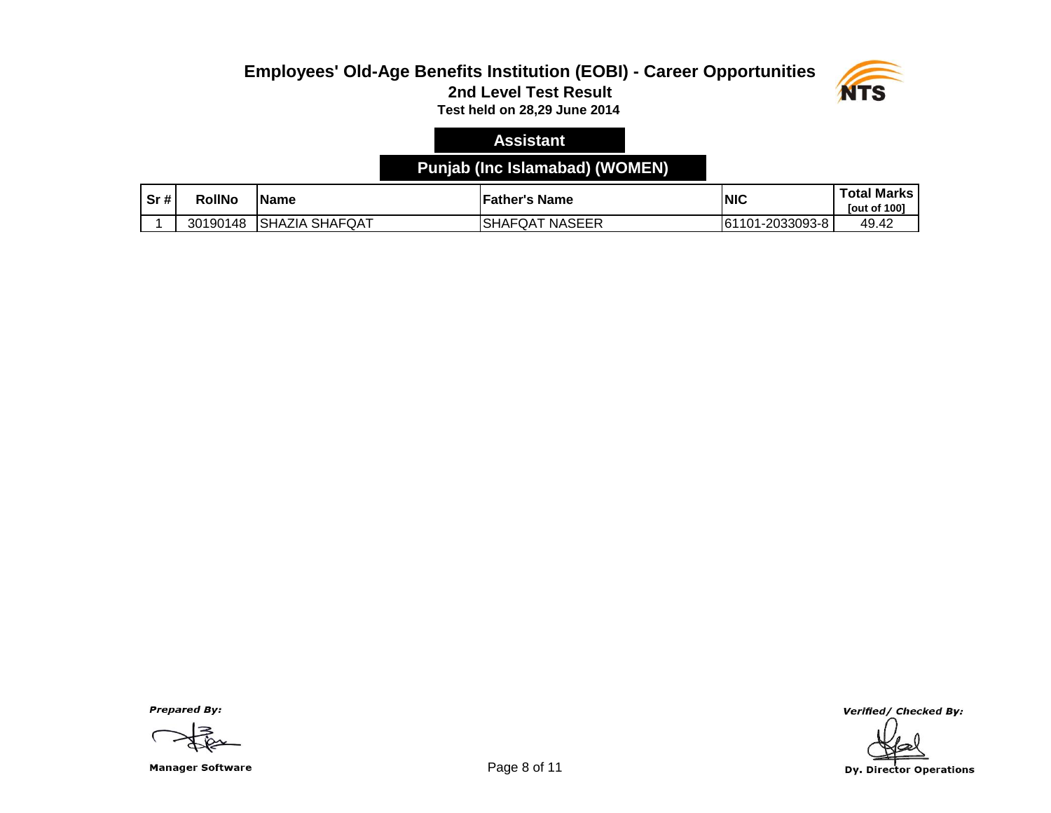

#### **Assistant**

### **Punjab (Inc Islamabad) (WOMEN)**

| Sr# | RollNo   | IName                            | <b>Father's Name</b>                | <b>INIC</b>           | <b>Total Marks</b><br><b>Tout of 1001</b> |
|-----|----------|----------------------------------|-------------------------------------|-----------------------|-------------------------------------------|
|     | 30190148 | <b>SHAFQAT</b><br><b>ISHAZIA</b> | <b>NASEER</b><br><b>SHAFQ</b><br>QA | 1-2033093-8<br>161101 | 49.42                                     |

**Prepared By:** 

Manager Software **Example 2 and Series** Page 8 of 11

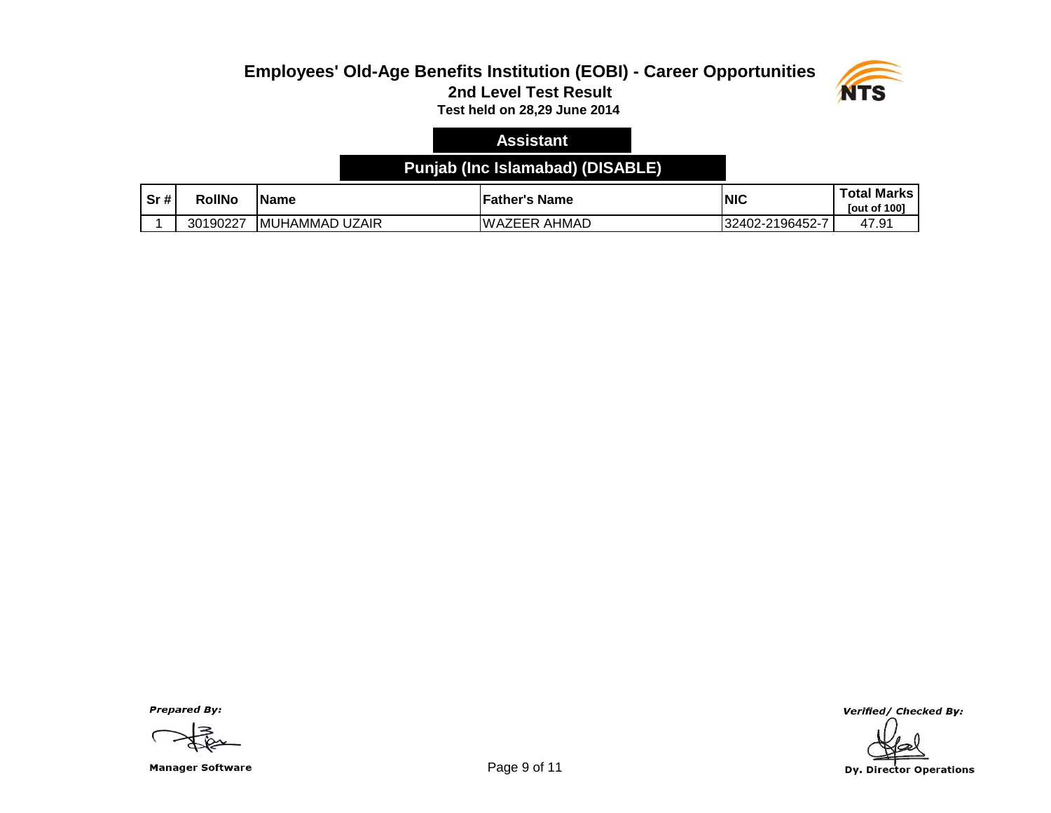

#### **Assistant**

#### **Punjab (Inc Islamabad) (DISABLE)**

| Sr# | <b>RollNo</b> | lName                     | <b>Father's Name</b>   | NIC             | <b>Total Marks</b><br><b>Tout of 1001</b> |
|-----|---------------|---------------------------|------------------------|-----------------|-------------------------------------------|
|     | 30190227      | <b>IMUHAMMAD</b><br>UZAIR | AHMAD<br><b>WAZEER</b> | 32402-2196452-7 | 47.91                                     |

**Prepared By:** 

Manager Software **Example 2 and Server 2 and Server 2 and Server 2 and Server 2 and Server 2 and Server 2 and S** 

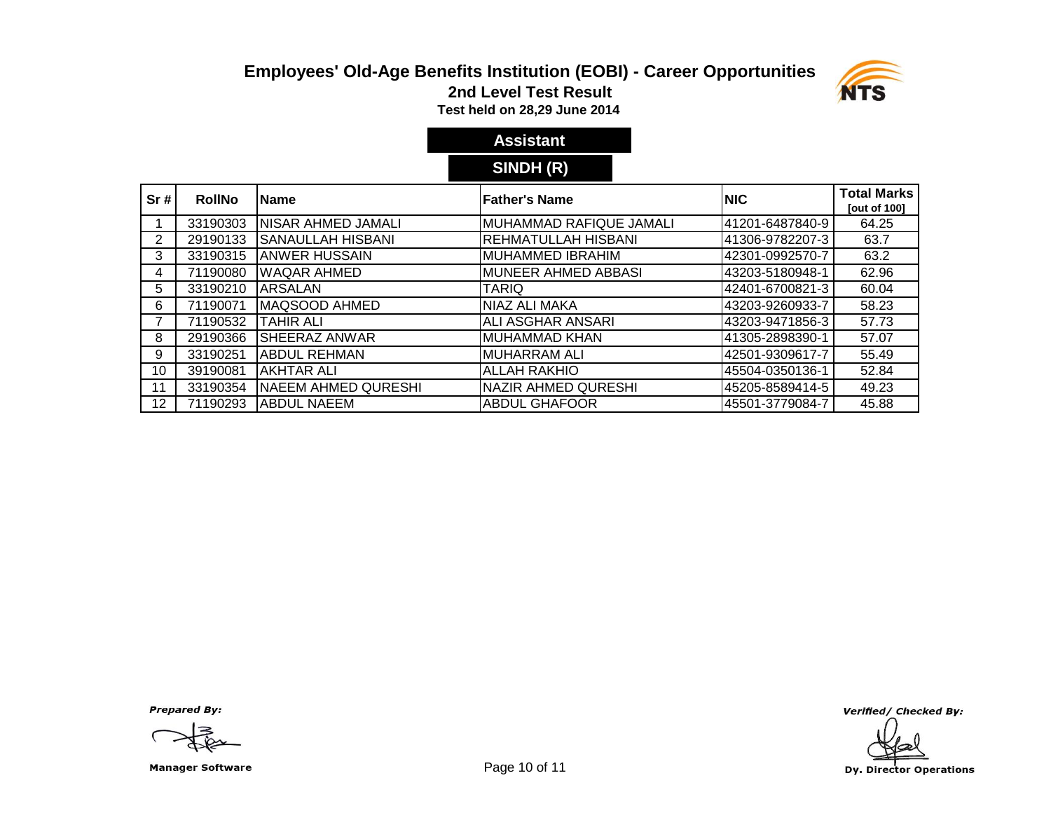

**2nd Level Test Result**

**Test held on 28,29 June 2014** 

# **Assistant**

# **SINDH (R)**

| Sr#            | <b>RollNo</b> | <b>IName</b>               | <b>Father's Name</b>       | <b>INIC</b>     | <b>Total Marks</b><br>[out of 100] |
|----------------|---------------|----------------------------|----------------------------|-----------------|------------------------------------|
|                | 33190303      | NISAR AHMED JAMALI         | MUHAMMAD RAFIQUE JAMALI    | 41201-6487840-9 | 64.25                              |
| 2              | 29190133      | SANAULLAH HISBANI          | <b>REHMATULLAH HISBANI</b> | 41306-9782207-3 | 63.7                               |
| 3              | 33190315      | <b>JANWER HUSSAIN</b>      | <b>MUHAMMED IBRAHIM</b>    | 42301-0992570-7 | 63.2                               |
| 4              | 71190080      | <b>WAQAR AHMED</b>         | MUNEER AHMED ABBASI        | 43203-5180948-1 | 62.96                              |
| 5              | 33190210      | <b>ARSALAN</b>             | <b>TARIQ</b>               | 42401-6700821-3 | 60.04                              |
| 6              | 71190071      | IMAQSOOD AHMED             | NIAZ ALI MAKA              | 43203-9260933-7 | 58.23                              |
| $\overline{7}$ | 71190532      | ITAHIR ALI                 | ALI ASGHAR ANSARI          | 43203-9471856-3 | 57.73                              |
| 8              | 29190366      | ISHEERAZ ANWAR             | MUHAMMAD KHAN              | 41305-2898390-1 | 57.07                              |
| 9              | 33190251      | <b>I</b> ABDUL REHMAN      | IMUHARRAM ALI              | 42501-9309617-7 | 55.49                              |
| 10             | 39190081      | AKHTAR ALI                 | <b>ALLAH RAKHIO</b>        | 45504-0350136-1 | 52.84                              |
| 11             | 33190354      | <b>NAEEM AHMED QURESHI</b> | NAZIR AHMED QURESHI        | 45205-8589414-5 | 49.23                              |
| 12             | 71190293      | IABDUL NAEEM               | <b>ABDUL GHAFOOR</b>       | 45501-3779084-7 | 45.88                              |

**Prepared By:** 

Manager Software **Example 20 and Server 20 and Server 20 and Page 10 of 11**